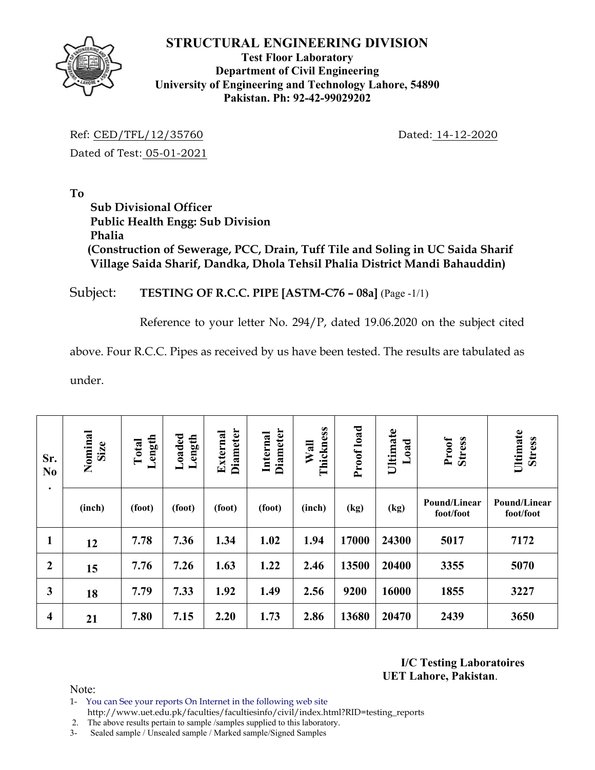

#### **Test Floor Laboratory Department of Civil Engineering University of Engineering and Technology Lahore, 54890 Pakistan. Ph: 92-42-99029202**

Ref: CED/TFL/12/35760 Dated: 14-12-2020 Dated of Test: 05-01-2021

**To** 

 **Sub Divisional Officer Public Health Engg: Sub Division Phalia (Construction of Sewerage, PCC, Drain, Tuff Tile and Soling in UC Saida Sharif Village Saida Sharif, Dandka, Dhola Tehsil Phalia District Mandi Bahauddin)** 

Subject: **TESTING OF R.C.C. PIPE [ASTM-C76 – 08a]** (Page -1/1)

Reference to your letter No. 294/P, dated 19.06.2020 on the subject cited

above. Four R.C.C. Pipes as received by us have been tested. The results are tabulated as

under.

| Sr.<br>N <sub>0</sub><br>$\bullet$ | Nominal<br>Size | Length<br>Total | Loaded<br>Length | <b>Diameter</b><br>External | <b>Diameter</b><br>Internal | Thickness<br>Wall | Proof load | Ultimate<br>Load | Proof<br><b>Stress</b>    | Ultimate<br><b>Stress</b> |
|------------------------------------|-----------------|-----------------|------------------|-----------------------------|-----------------------------|-------------------|------------|------------------|---------------------------|---------------------------|
|                                    | (inch)          | (foot)          | (foot)           | (foot)                      | (foot)                      | (inch)            | (kg)       | (kg)             | Pound/Linear<br>foot/foot | Pound/Linear<br>foot/foot |
| $\mathbf{1}$                       | 12              | 7.78            | 7.36             | 1.34                        | 1.02                        | 1.94              | 17000      | 24300            | 5017                      | 7172                      |
| $\boldsymbol{2}$                   | 15              | 7.76            | 7.26             | 1.63                        | 1.22                        | 2.46              | 13500      | 20400            | 3355                      | 5070                      |
| 3                                  | 18              | 7.79            | 7.33             | 1.92                        | 1.49                        | 2.56              | 9200       | 16000            | 1855                      | 3227                      |
| $\overline{\mathbf{4}}$            | 21              | 7.80            | 7.15             | 2.20                        | 1.73                        | 2.86              | 13680      | 20470            | 2439                      | 3650                      |

**I/C Testing Laboratoires UET Lahore, Pakistan**.

Note:

1- You can See your reports On Internet in the following web site http://www.uet.edu.pk/faculties/facultiesinfo/civil/index.html?RID=testing\_reports

2. The above results pertain to sample /samples supplied to this laboratory.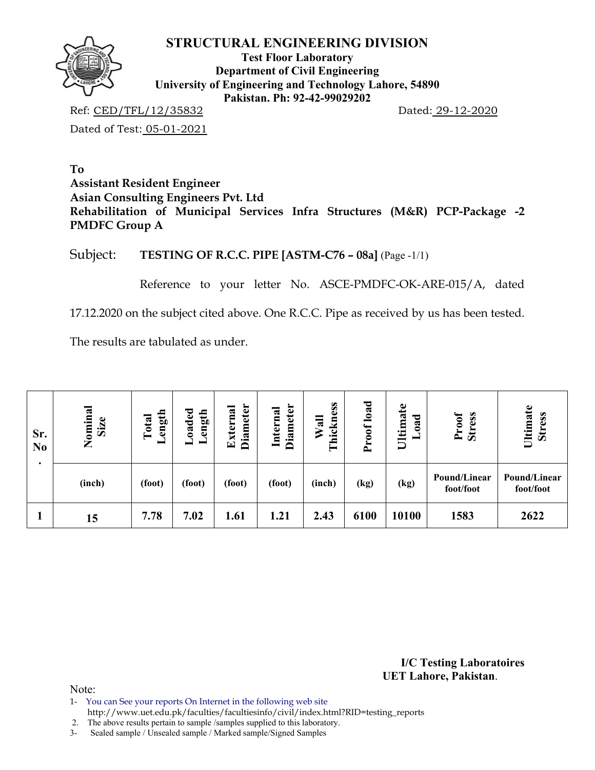

**Test Floor Laboratory Department of Civil Engineering University of Engineering and Technology Lahore, 54890 Pakistan. Ph: 92-42-99029202** 

Ref: CED/TFL/12/35832 Dated: 29-12-2020

Dated of Test: 05-01-2021

**To Assistant Resident Engineer Asian Consulting Engineers Pvt. Ltd Rehabilitation of Municipal Services Infra Structures (M&R) PCP-Package -2 PMDFC Group A** 

Subject: **TESTING OF R.C.C. PIPE [ASTM-C76 – 08a]** (Page -1/1)

Reference to your letter No. ASCE-PMDFC-OK-ARE-015/A, dated

17.12.2020 on the subject cited above. One R.C.C. Pipe as received by us has been tested.

The results are tabulated as under.

| Sr.<br>N <sub>0</sub> | Nominal<br>Size | ength<br>Total<br>▬ | Loaded<br>ength | <b>Diameter</b><br>External | <b>Diameter</b><br>Internal | hickness<br>Wall<br>۳ | load<br>1000<br>$\rightarrow$ | Ultimate<br>ರ<br>$\tilde{\mathbf{a}}$ | Proof<br><b>Stress</b>    | Ultimate<br>Stress        |
|-----------------------|-----------------|---------------------|-----------------|-----------------------------|-----------------------------|-----------------------|-------------------------------|---------------------------------------|---------------------------|---------------------------|
| ٠                     | (inch)          | (foot)              | (foot)          | (foot)                      | (foot)                      | (inch)                | (kg)                          | (kg)                                  | Pound/Linear<br>foot/foot | Pound/Linear<br>foot/foot |
|                       | 15              | 7.78                | 7.02            | 1.61                        | 1.21                        | 2.43                  | 6100                          | 10100                                 | 1583                      | 2622                      |

**I/C Testing Laboratoires UET Lahore, Pakistan**.

Note:

1- You can See your reports On Internet in the following web site

http://www.uet.edu.pk/faculties/facultiesinfo/civil/index.html?RID=testing\_reports

2. The above results pertain to sample /samples supplied to this laboratory.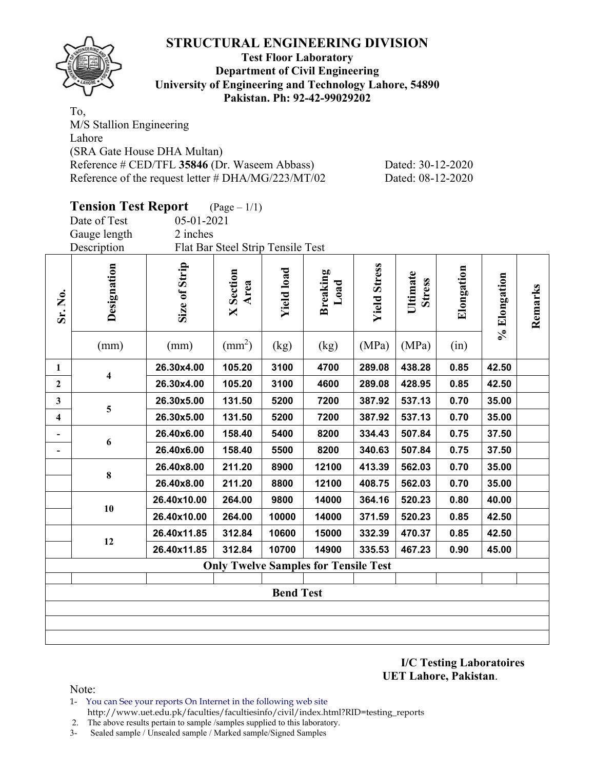

#### **Test Floor Laboratory Department of Civil Engineering University of Engineering and Technology Lahore, 54890 Pakistan. Ph: 92-42-99029202**

To, M/S Stallion Engineering Lahore (SRA Gate House DHA Multan) Reference # CED/TFL 35846 (Dr. Waseem Abbass) Dated: 30-12-2020 Reference of the request letter # DHA/MG/223/MT/02 Dated: 08-12-2020

|                         | <b>Tension Test Report</b> |               | $(\text{Page} - 1/1)$             |                   |                                             |                     |                           |            |              |         |  |  |  |
|-------------------------|----------------------------|---------------|-----------------------------------|-------------------|---------------------------------------------|---------------------|---------------------------|------------|--------------|---------|--|--|--|
|                         | Date of Test               | 05-01-2021    |                                   |                   |                                             |                     |                           |            |              |         |  |  |  |
|                         | Gauge length               | 2 inches      |                                   |                   |                                             |                     |                           |            |              |         |  |  |  |
|                         | Description                |               | Flat Bar Steel Strip Tensile Test |                   |                                             |                     |                           |            |              |         |  |  |  |
| Sr. No.                 | Designation                | Size of Strip | <b>X</b> Section<br>Area          | <b>Yield load</b> | <b>Breaking</b><br>Load                     | <b>Yield Stress</b> | Ultimate<br><b>Stress</b> | Elongation | % Elongation | Remarks |  |  |  |
|                         | (mm)                       | (mm)          | $\text{(mm}^2)$                   | (kg)              | (kg)                                        | (MPa)               | (MPa)                     | (in)       |              |         |  |  |  |
| $\mathbf{1}$            | 4                          | 26.30x4.00    | 105.20                            | 3100              | 4700                                        | 289.08              | 438.28                    | 0.85       | 42.50        |         |  |  |  |
| $\mathbf{2}$            |                            | 26.30x4.00    | 105.20                            | 3100              | 4600                                        | 289.08              | 428.95                    | 0.85       | 42.50        |         |  |  |  |
| $\overline{\mathbf{3}}$ |                            | 26.30x5.00    | 131.50                            | 5200              | 7200                                        | 387.92              | 537.13                    | 0.70       | 35.00        |         |  |  |  |
| 4                       | 5                          | 26.30x5.00    | 131.50                            | 5200              | 7200                                        | 387.92              | 537.13                    | 0.70       | 35.00        |         |  |  |  |
|                         |                            | 26.40x6.00    | 158.40                            | 5400              | 8200                                        | 334.43              | 507.84                    | 0.75       | 37.50        |         |  |  |  |
|                         | 6                          | 26.40x6.00    | 158.40                            | 5500              | 8200                                        | 340.63              | 507.84                    | 0.75       | 37.50        |         |  |  |  |
|                         |                            | 26.40x8.00    | 211.20                            | 8900              | 12100                                       | 413.39              | 562.03                    | 0.70       | 35.00        |         |  |  |  |
|                         | 8                          | 26.40x8.00    | 211.20                            | 8800              | 12100                                       | 408.75              | 562.03                    | 0.70       | 35.00        |         |  |  |  |
|                         |                            | 26.40x10.00   | 264.00                            | 9800              | 14000                                       | 364.16              | 520.23                    | 0.80       | 40.00        |         |  |  |  |
|                         | 10                         | 26.40x10.00   | 264.00                            | 10000             | 14000                                       | 371.59              | 520.23                    | 0.85       | 42.50        |         |  |  |  |
|                         |                            | 26.40x11.85   | 312.84                            | 10600             | 15000                                       | 332.39              | 470.37                    | 0.85       | 42.50        |         |  |  |  |
|                         | 12                         | 26.40x11.85   | 312.84                            | 10700             | 14900                                       | 335.53              | 467.23                    | 0.90       | 45.00        |         |  |  |  |
|                         |                            |               |                                   |                   | <b>Only Twelve Samples for Tensile Test</b> |                     |                           |            |              |         |  |  |  |
|                         |                            |               |                                   |                   |                                             |                     |                           |            |              |         |  |  |  |
|                         |                            |               |                                   | <b>Bend Test</b>  |                                             |                     |                           |            |              |         |  |  |  |
|                         |                            |               |                                   |                   |                                             |                     |                           |            |              |         |  |  |  |
|                         |                            |               |                                   |                   |                                             |                     |                           |            |              |         |  |  |  |
|                         |                            |               |                                   |                   |                                             |                     |                           |            |              |         |  |  |  |

**I/C Testing Laboratoires UET Lahore, Pakistan**.

Note:

- 1- You can See your reports On Internet in the following web site http://www.uet.edu.pk/faculties/facultiesinfo/civil/index.html?RID=testing\_reports
- 2. The above results pertain to sample /samples supplied to this laboratory.
- 3- Sealed sample / Unsealed sample / Marked sample/Signed Samples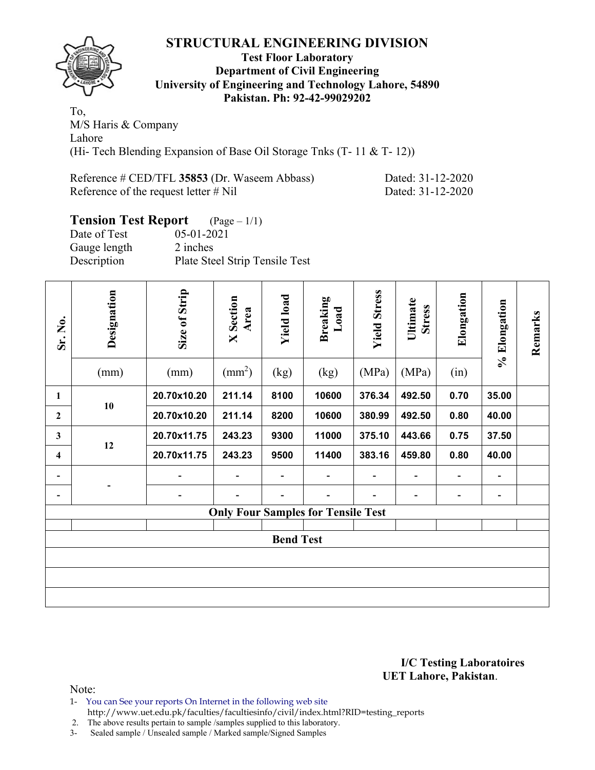

#### **Test Floor Laboratory Department of Civil Engineering University of Engineering and Technology Lahore, 54890 Pakistan. Ph: 92-42-99029202**

To, M/S Haris & Company Lahore (Hi- Tech Blending Expansion of Base Oil Storage Tnks (T- 11 & T- 12))

| Reference # CED/TFL 35853 (Dr. Waseem Abbass) |  |
|-----------------------------------------------|--|
| Reference of the request letter $\#$ Nil      |  |

Dated: 31-12-2020 Dated: 31-12-2020

# **Tension Test Report** (Page – 1/1)

| 05-01-2021                     |
|--------------------------------|
| 2 inches                       |
| Plate Steel Strip Tensile Test |
|                                |

| Sr. No.                  | Designation<br>(mm) | Size of Strip<br>(mm) | <b>X</b> Section<br>Area<br>$\text{mm}^2$ ) | <b>Yield load</b><br>(kg) | Breaking<br>Load<br>(kg)                  | <b>Yield Stress</b><br>(MPa) | Ultimate<br><b>Stress</b><br>(MPa) | Elongation<br>(in)       | % Elongation                 | Remarks |
|--------------------------|---------------------|-----------------------|---------------------------------------------|---------------------------|-------------------------------------------|------------------------------|------------------------------------|--------------------------|------------------------------|---------|
|                          |                     |                       |                                             |                           |                                           |                              |                                    |                          |                              |         |
| 1                        | 10                  | 20.70x10.20           | 211.14                                      | 8100                      | 10600                                     | 376.34                       | 492.50                             | 0.70                     | 35.00                        |         |
| $\mathbf{2}$             |                     | 20.70x10.20           | 211.14                                      | 8200                      | 10600                                     | 380.99                       | 492.50                             | 0.80                     | 40.00                        |         |
| 3                        | 12                  | 20.70x11.75           | 243.23                                      | 9300                      | 11000                                     | 375.10                       | 443.66                             | 0.75                     | 37.50                        |         |
| 4                        |                     | 20.70x11.75           | 243.23                                      | 9500                      | 11400                                     | 383.16                       | 459.80                             | 0.80                     | 40.00                        |         |
| $\overline{\phantom{0}}$ |                     |                       |                                             |                           |                                           |                              | $\overline{\phantom{0}}$           | $\overline{\phantom{a}}$ | $\qquad \qquad \blacksquare$ |         |
| -                        |                     |                       |                                             |                           |                                           |                              | -                                  | $\overline{\phantom{a}}$ | $\overline{\phantom{a}}$     |         |
|                          |                     |                       |                                             |                           | <b>Only Four Samples for Tensile Test</b> |                              |                                    |                          |                              |         |
|                          |                     |                       |                                             |                           |                                           |                              |                                    |                          |                              |         |
|                          |                     |                       |                                             | <b>Bend Test</b>          |                                           |                              |                                    |                          |                              |         |
|                          |                     |                       |                                             |                           |                                           |                              |                                    |                          |                              |         |
|                          |                     |                       |                                             |                           |                                           |                              |                                    |                          |                              |         |
|                          |                     |                       |                                             |                           |                                           |                              |                                    |                          |                              |         |

**I/C Testing Laboratoires UET Lahore, Pakistan**.

Note:

- 1- You can See your reports On Internet in the following web site
- http://www.uet.edu.pk/faculties/facultiesinfo/civil/index.html?RID=testing\_reports

2. The above results pertain to sample /samples supplied to this laboratory.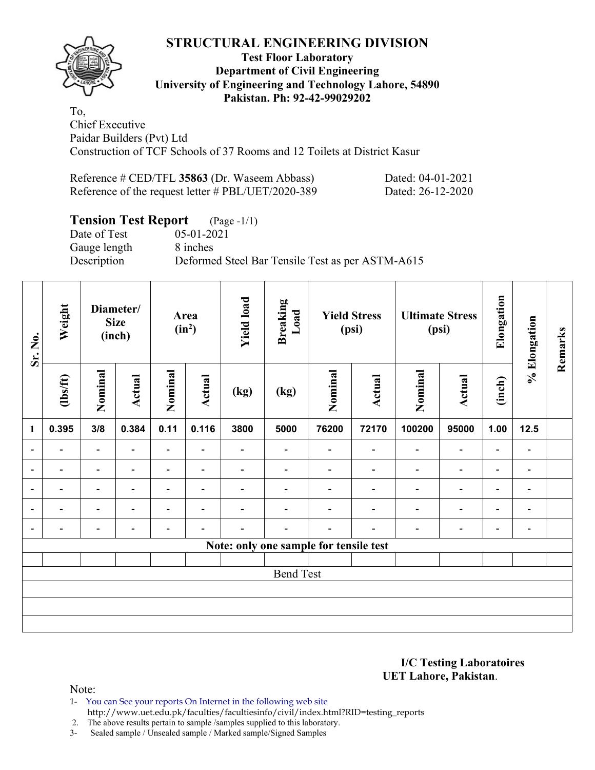

#### **Test Floor Laboratory Department of Civil Engineering University of Engineering and Technology Lahore, 54890 Pakistan. Ph: 92-42-99029202**

To, Chief Executive Paidar Builders (Pvt) Ltd Construction of TCF Schools of 37 Rooms and 12 Toilets at District Kasur

| Reference # CED/TFL 35863 (Dr. Waseem Abbass)      | Dated: 04-01-2021 |
|----------------------------------------------------|-------------------|
| Reference of the request letter # PBL/UET/2020-389 | Dated: 26-12-2020 |

# **Tension Test Report** (Page -1/1)<br>Date of Test 05-01-2021

Date of Test Gauge length 8 inches

Description Deformed Steel Bar Tensile Test as per ASTM-A615

| Sr. No.                  | Weight                   |                          | Diameter/<br><b>Size</b><br>(inch) |                          | Area<br>$(in^2)$         | <b>Yield load</b>        | <b>Breaking</b><br>Load                |                | <b>Yield Stress</b><br>(psi) |                          | <b>Ultimate Stress</b><br>(psi) | Elongation               | % Elongation                 | Remarks |
|--------------------------|--------------------------|--------------------------|------------------------------------|--------------------------|--------------------------|--------------------------|----------------------------------------|----------------|------------------------------|--------------------------|---------------------------------|--------------------------|------------------------------|---------|
|                          | (1bs/ft)                 | Nominal                  | <b>Actual</b>                      | Nominal                  | Actual                   | (kg)                     | (kg)                                   | Nominal        | Actual                       | Nominal                  | <b>Actual</b>                   | (inch)                   |                              |         |
| 1                        | 0.395                    | 3/8                      | 0.384                              | 0.11                     | 0.116                    | 3800                     | 5000                                   | 76200          | 72170                        | 100200                   | 95000                           | 1.00                     | 12.5                         |         |
| $\blacksquare$           | $\overline{\phantom{0}}$ | Ξ.                       | $\blacksquare$                     | Ξ.                       | $\blacksquare$           | $\overline{\phantom{0}}$ | ۰                                      | $\blacksquare$ | $\overline{\phantom{a}}$     | $\overline{\phantom{0}}$ | $\overline{\phantom{a}}$        | $\overline{\phantom{a}}$ | $\overline{\phantom{0}}$     |         |
| $\overline{\phantom{a}}$ | -                        | -                        | $\overline{\phantom{0}}$           | $\overline{\phantom{0}}$ | $\overline{\phantom{a}}$ | -                        |                                        |                | $\overline{\phantom{0}}$     | $\overline{\phantom{0}}$ | $\overline{a}$                  | $\overline{\phantom{a}}$ | $\qquad \qquad \blacksquare$ |         |
| $\overline{a}$           | $\overline{\phantom{0}}$ | $\overline{\phantom{a}}$ | $\overline{\phantom{0}}$           | $\overline{\phantom{0}}$ | $\blacksquare$           | -                        | $\overline{\phantom{0}}$               |                | $\overline{\phantom{0}}$     | $\blacksquare$           | $\blacksquare$                  | $\overline{\phantom{a}}$ | $\qquad \qquad \blacksquare$ |         |
| $\overline{a}$           |                          | $\overline{\phantom{0}}$ |                                    | $\overline{a}$           | ٠                        |                          |                                        |                |                              |                          | $\overline{\phantom{0}}$        | $\overline{\phantom{0}}$ | $\overline{\phantom{a}}$     |         |
| $\overline{\phantom{a}}$ |                          | $\overline{\phantom{0}}$ |                                    | -                        | $\overline{\phantom{0}}$ |                          |                                        |                |                              |                          | $\overline{\phantom{0}}$        | $\overline{\phantom{0}}$ | $\overline{\phantom{0}}$     |         |
|                          |                          |                          |                                    |                          |                          |                          | Note: only one sample for tensile test |                |                              |                          |                                 |                          |                              |         |
|                          |                          |                          |                                    |                          |                          |                          |                                        |                |                              |                          |                                 |                          |                              |         |
|                          |                          |                          |                                    |                          |                          |                          | <b>Bend Test</b>                       |                |                              |                          |                                 |                          |                              |         |
|                          |                          |                          |                                    |                          |                          |                          |                                        |                |                              |                          |                                 |                          |                              |         |
|                          |                          |                          |                                    |                          |                          |                          |                                        |                |                              |                          |                                 |                          |                              |         |
|                          |                          |                          |                                    |                          |                          |                          |                                        |                |                              |                          |                                 |                          |                              |         |

**I/C Testing Laboratoires UET Lahore, Pakistan**.

Note:

1- You can See your reports On Internet in the following web site http://www.uet.edu.pk/faculties/facultiesinfo/civil/index.html?RID=testing\_reports

2. The above results pertain to sample /samples supplied to this laboratory.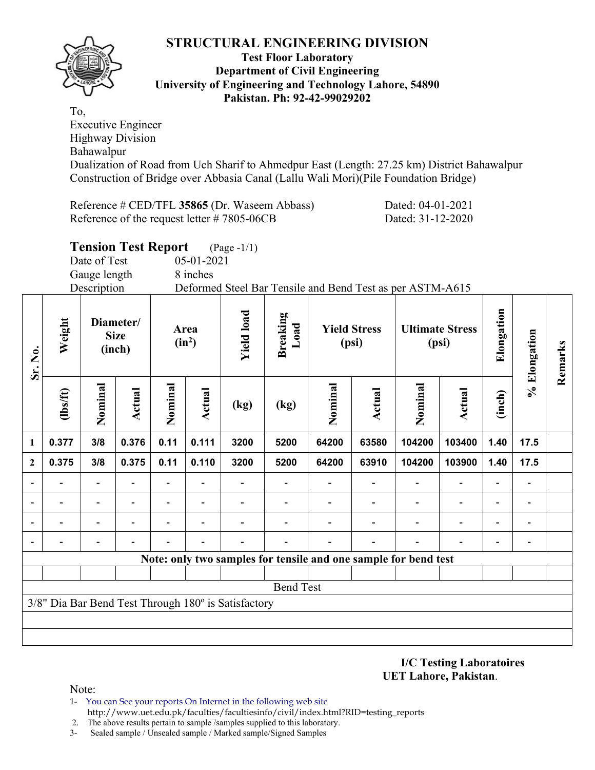

#### **Test Floor Laboratory Department of Civil Engineering University of Engineering and Technology Lahore, 54890 Pakistan. Ph: 92-42-99029202**

To, Executive Engineer Highway Division Bahawalpur Dualization of Road from Uch Sharif to Ahmedpur East (Length: 27.25 km) District Bahawalpur Construction of Bridge over Abbasia Canal (Lallu Wali Mori)(Pile Foundation Bridge)

Reference # CED/TFL **35865** (Dr. Waseem Abbass) Dated: 04-01-2021 Reference of the request letter # 7805-06CB Dated: 31-12-2020

|              | <b>Tension Test Report</b> (Page -1/1) |                |                                                           |  |
|--------------|----------------------------------------|----------------|-----------------------------------------------------------|--|
| Date of Test | $05-01-2021$                           |                |                                                           |  |
| Gauge length | 8 inches                               |                |                                                           |  |
| Description  |                                        |                | Deformed Steel Bar Tensile and Bend Test as per ASTM-A615 |  |
|              |                                        |                |                                                           |  |
| Diamataul    |                                        | $\overline{a}$ |                                                           |  |

| Sr. No.                  | Weight   |                          | Diameter/<br><b>Size</b><br>(inch) |                | Area<br>$(in^2)$ | <b>Yield load</b>                                   | <b>Breaking</b><br>Load |                                                                 | <b>Yield Stress</b><br>(psi) |         | <b>Ultimate Stress</b><br>(psi) | Elongation               | % Elongation   | Remarks |
|--------------------------|----------|--------------------------|------------------------------------|----------------|------------------|-----------------------------------------------------|-------------------------|-----------------------------------------------------------------|------------------------------|---------|---------------------------------|--------------------------|----------------|---------|
|                          | (1bs/ft) | Nominal                  | Actual                             | Nominal        | Actual           | (kg)                                                | (kg)                    | Nominal                                                         | Actual                       | Nominal | Actual                          | (inch)                   |                |         |
| 1                        | 0.377    | 3/8                      | 0.376                              | 0.11           | 0.111            | 3200                                                | 5200                    | 64200                                                           | 63580                        | 104200  | 103400                          | 1.40                     | 17.5           |         |
| $\mathbf{2}$             | 0.375    | 3/8                      | 0.375                              | 0.11           | 0.110            | 3200                                                | 5200                    | 64200                                                           | 63910                        | 104200  | 103900                          | 1.40                     | 17.5           |         |
| $\overline{\phantom{a}}$ |          |                          | $\overline{\phantom{0}}$           | $\overline{a}$ |                  |                                                     |                         |                                                                 |                              |         |                                 | $\overline{\phantom{0}}$ |                |         |
| $\blacksquare$           |          | $\overline{\phantom{a}}$ | Ξ.                                 | $\blacksquare$ | $\blacksquare$   | $\blacksquare$                                      |                         |                                                                 |                              |         | $\overline{\phantom{0}}$        | $\overline{\phantom{0}}$ | $\blacksquare$ |         |
| $\blacksquare$           |          |                          | $\blacksquare$                     |                |                  |                                                     |                         |                                                                 |                              |         |                                 | $\overline{\phantom{0}}$ |                |         |
| $\blacksquare$           |          |                          |                                    |                |                  |                                                     |                         |                                                                 |                              |         |                                 |                          |                |         |
|                          |          |                          |                                    |                |                  |                                                     |                         | Note: only two samples for tensile and one sample for bend test |                              |         |                                 |                          |                |         |
|                          |          |                          |                                    |                |                  |                                                     | <b>Bend Test</b>        |                                                                 |                              |         |                                 |                          |                |         |
|                          |          |                          |                                    |                |                  | 3/8" Dia Bar Bend Test Through 180° is Satisfactory |                         |                                                                 |                              |         |                                 |                          |                |         |
|                          |          |                          |                                    |                |                  |                                                     |                         |                                                                 |                              |         |                                 |                          |                |         |
|                          |          |                          |                                    |                |                  |                                                     |                         |                                                                 |                              |         |                                 |                          |                |         |

**I/C Testing Laboratoires UET Lahore, Pakistan**.

Note:

1- You can See your reports On Internet in the following web site http://www.uet.edu.pk/faculties/facultiesinfo/civil/index.html?RID=testing\_reports

2. The above results pertain to sample /samples supplied to this laboratory.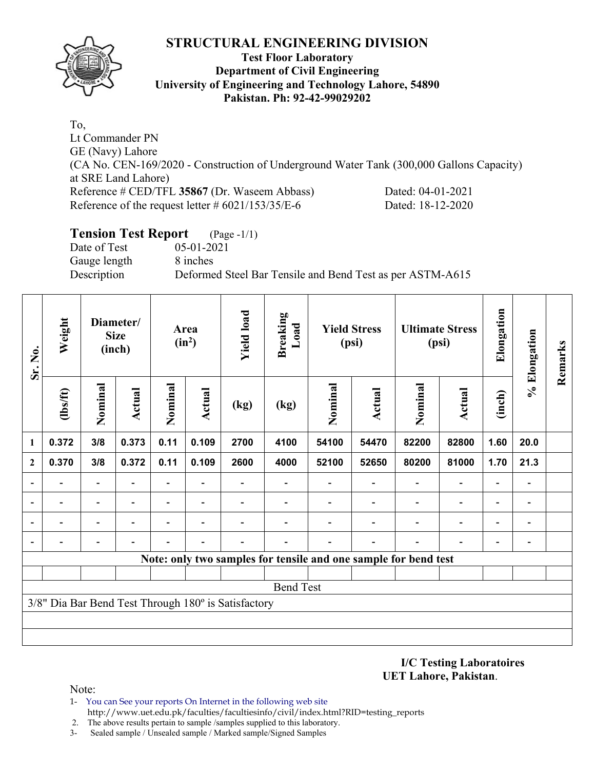

#### **Test Floor Laboratory Department of Civil Engineering University of Engineering and Technology Lahore, 54890 Pakistan. Ph: 92-42-99029202**

To, Lt Commander PN GE (Navy) Lahore (CA No. CEN-169/2020 - Construction of Underground Water Tank (300,000 Gallons Capacity) at SRE Land Lahore) Reference # CED/TFL **35867** (Dr. Waseem Abbass) Dated: 04-01-2021 Reference of the request letter # 6021/153/35/E-6 Dated: 18-12-2020

# **Tension Test Report** (Page -1/1) Date of Test 05-01-2021 Gauge length 8 inches Description Deformed Steel Bar Tensile and Bend Test as per ASTM-A615

| Sr. No.                  | Weight                   |                          | Diameter/<br><b>Size</b><br>(inch) |                          | Area<br>$(in^2)$         | <b>Yield load</b>                                   | <b>Breaking</b><br>Load |         | <b>Yield Stress</b><br>(psi)                                    |                          | <b>Ultimate Stress</b><br>(psi) | Elongation               | % Elongation                 | Remarks |
|--------------------------|--------------------------|--------------------------|------------------------------------|--------------------------|--------------------------|-----------------------------------------------------|-------------------------|---------|-----------------------------------------------------------------|--------------------------|---------------------------------|--------------------------|------------------------------|---------|
|                          | (1bs/ft)                 | Nominal                  | <b>Actual</b>                      | Nominal                  | Actual                   | (kg)                                                | (kg)                    | Nominal | Actual                                                          | Nominal                  | Actual                          | (inch)                   |                              |         |
| 1                        | 0.372                    | 3/8                      | 0.373                              | 0.11                     | 0.109                    | 2700                                                | 4100                    | 54100   | 54470                                                           | 82200                    | 82800                           | 1.60                     | 20.0                         |         |
| $\mathbf{2}$             | 0.370                    | 3/8                      | 0.372                              | 0.11                     | 0.109                    | 2600                                                | 4000                    | 52100   | 52650                                                           | 80200                    | 81000                           | 1.70                     | 21.3                         |         |
| $\overline{\phantom{a}}$ |                          |                          |                                    | Ξ.                       |                          |                                                     |                         |         |                                                                 | $\overline{\phantom{0}}$ | $\qquad \qquad \blacksquare$    | $\overline{\phantom{a}}$ | $\qquad \qquad \blacksquare$ |         |
| ۰                        | $\overline{\phantom{0}}$ | $\overline{\phantom{0}}$ |                                    | $\overline{\phantom{0}}$ | $\overline{\phantom{a}}$ |                                                     |                         |         |                                                                 | $\overline{\phantom{0}}$ | $\qquad \qquad \blacksquare$    | $\overline{\phantom{a}}$ | -                            |         |
|                          |                          |                          |                                    | -                        | $\overline{\phantom{0}}$ |                                                     |                         |         |                                                                 |                          | $\overline{\phantom{0}}$        | $\overline{\phantom{0}}$ | $\overline{a}$               |         |
|                          |                          |                          |                                    |                          |                          |                                                     |                         |         |                                                                 |                          |                                 | $\overline{\phantom{0}}$ |                              |         |
|                          |                          |                          |                                    |                          |                          |                                                     |                         |         | Note: only two samples for tensile and one sample for bend test |                          |                                 |                          |                              |         |
|                          |                          |                          |                                    |                          |                          |                                                     |                         |         |                                                                 |                          |                                 |                          |                              |         |
|                          |                          |                          |                                    |                          |                          |                                                     | <b>Bend Test</b>        |         |                                                                 |                          |                                 |                          |                              |         |
|                          |                          |                          |                                    |                          |                          | 3/8" Dia Bar Bend Test Through 180° is Satisfactory |                         |         |                                                                 |                          |                                 |                          |                              |         |
|                          |                          |                          |                                    |                          |                          |                                                     |                         |         |                                                                 |                          |                                 |                          |                              |         |
|                          |                          |                          |                                    |                          |                          |                                                     |                         |         |                                                                 |                          |                                 |                          |                              |         |

**I/C Testing Laboratoires UET Lahore, Pakistan**.

Note:

- 1- You can See your reports On Internet in the following web site http://www.uet.edu.pk/faculties/facultiesinfo/civil/index.html?RID=testing\_reports
- 2. The above results pertain to sample /samples supplied to this laboratory.
- 3- Sealed sample / Unsealed sample / Marked sample/Signed Samples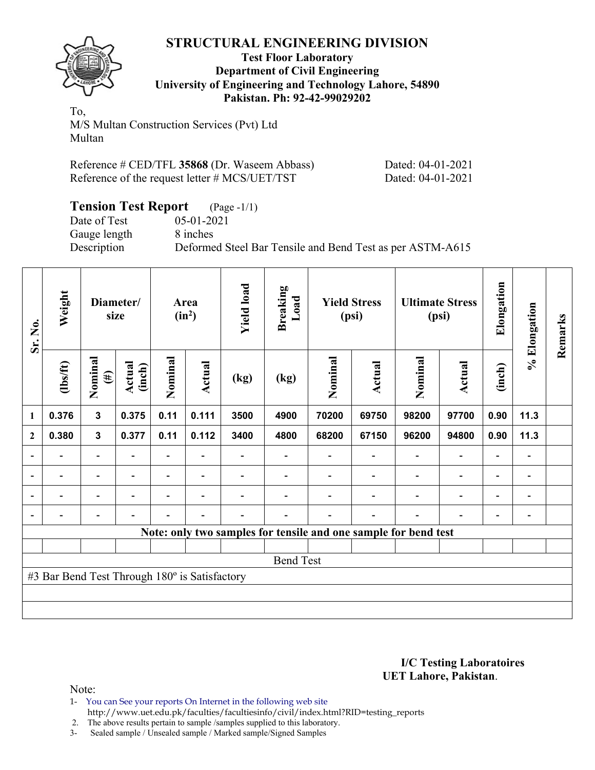

#### **Test Floor Laboratory Department of Civil Engineering University of Engineering and Technology Lahore, 54890 Pakistan. Ph: 92-42-99029202**

To, M/S Multan Construction Services (Pvt) Ltd Multan

| Reference # CED/TFL 35868 (Dr. Waseem Abbass) |
|-----------------------------------------------|
| Reference of the request letter # MCS/UET/TST |

Dated: 04-01-2021 Dated: 04-01-2021

| <b>Tension Test Report</b> (Page -1/1) |                                                           |
|----------------------------------------|-----------------------------------------------------------|
| Date of Test                           | $05-01-2021$                                              |
| Gauge length                           | 8 inches                                                  |
| Description                            | Deformed Steel Bar Tensile and Bend Test as per ASTM-A615 |

| Sr. No.                  | Weight                                        |                          | Diameter/<br>size |                          | Area<br>$(in^2)$         | <b>Yield load</b> | <b>Breaking</b><br>Load |                                                                 | <b>Yield Stress</b><br>(psi) |         | <b>Ultimate Stress</b><br>(psi) | Elongation               | % Elongation                 | Remarks |
|--------------------------|-----------------------------------------------|--------------------------|-------------------|--------------------------|--------------------------|-------------------|-------------------------|-----------------------------------------------------------------|------------------------------|---------|---------------------------------|--------------------------|------------------------------|---------|
|                          | (1bs/ft)                                      | Nominal<br>$(\#)$        | Actual<br>(inch)  | Nominal                  | Actual                   | (kg)              | (kg)                    | Nominal                                                         | Actual                       | Nominal | Actual                          | (inch)                   |                              |         |
| 1                        | 0.376                                         | $\mathbf{3}$             | 0.375             | 0.11                     | 0.111                    | 3500              | 4900                    | 70200                                                           | 69750                        | 98200   | 97700                           | 0.90                     | 11.3                         |         |
| $\overline{2}$           | 0.380                                         | $\mathbf{3}$             | 0.377             | 0.11                     | 0.112                    | 3400              | 4800                    | 68200                                                           | 67150                        | 96200   | 94800                           | 0.90                     | 11.3                         |         |
|                          |                                               |                          |                   |                          |                          |                   |                         |                                                                 |                              |         |                                 |                          | $\qquad \qquad \blacksquare$ |         |
| $\overline{\phantom{a}}$ |                                               | $\overline{\phantom{0}}$ |                   |                          | $\overline{\phantom{0}}$ |                   |                         |                                                                 |                              |         |                                 | $\overline{\phantom{0}}$ | $\qquad \qquad \blacksquare$ |         |
|                          |                                               | $\overline{\phantom{0}}$ |                   | $\overline{\phantom{0}}$ | $\overline{\phantom{0}}$ |                   |                         |                                                                 |                              |         | $\blacksquare$                  | $\overline{\phantom{0}}$ | $\overline{\phantom{0}}$     |         |
|                          |                                               | $\overline{\phantom{0}}$ |                   | $\blacksquare$           | $\overline{\phantom{0}}$ |                   |                         |                                                                 |                              |         | $\overline{\phantom{0}}$        |                          | -                            |         |
|                          |                                               |                          |                   |                          |                          |                   |                         | Note: only two samples for tensile and one sample for bend test |                              |         |                                 |                          |                              |         |
|                          |                                               |                          |                   |                          |                          |                   |                         |                                                                 |                              |         |                                 |                          |                              |         |
|                          |                                               |                          |                   |                          |                          |                   | <b>Bend Test</b>        |                                                                 |                              |         |                                 |                          |                              |         |
|                          | #3 Bar Bend Test Through 180° is Satisfactory |                          |                   |                          |                          |                   |                         |                                                                 |                              |         |                                 |                          |                              |         |
|                          |                                               |                          |                   |                          |                          |                   |                         |                                                                 |                              |         |                                 |                          |                              |         |
|                          |                                               |                          |                   |                          |                          |                   |                         |                                                                 |                              |         |                                 |                          |                              |         |

#### **I/C Testing Laboratoires UET Lahore, Pakistan**.

Note:

1- You can See your reports On Internet in the following web site http://www.uet.edu.pk/faculties/facultiesinfo/civil/index.html?RID=testing\_reports

2. The above results pertain to sample /samples supplied to this laboratory.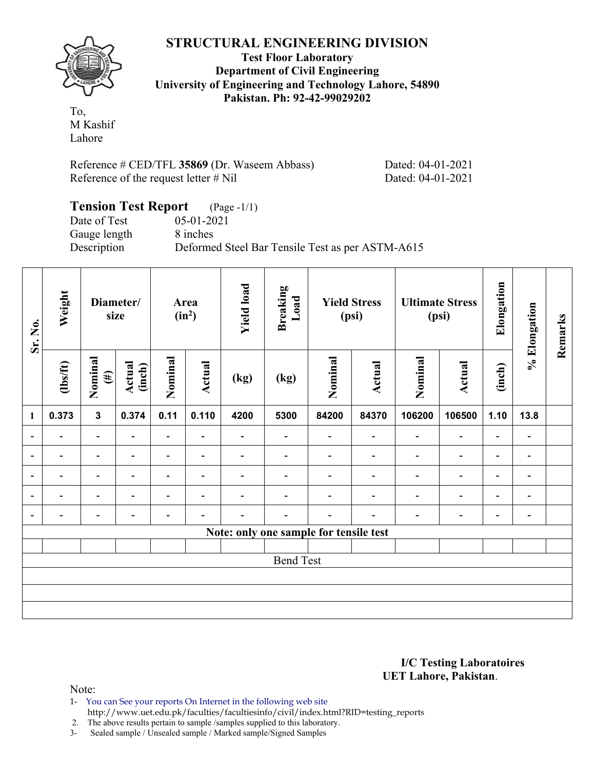

**Test Floor Laboratory Department of Civil Engineering University of Engineering and Technology Lahore, 54890 Pakistan. Ph: 92-42-99029202** 

To, M Kashif Lahore

Reference # CED/TFL **35869** (Dr. Waseem Abbass) Dated: 04-01-2021 Reference of the request letter # Nil Dated: 04-01-2021

#### **Tension Test Report** (Page -1/1) Date of Test 05-01-2021<br>Gauge length 8 inches Gauge length Description Deformed Steel Bar Tensile Test as per ASTM-A615

| Sr. No.                  | Weight                   |                          | Diameter/<br>size        | Area<br>$(in^2)$         |                          | <b>Yield load</b> | <b>Breaking</b><br>Load                |                | <b>Yield Stress</b><br>(psi) |                | <b>Ultimate Stress</b><br>(psi) | Elongation               | % Elongation                 | Remarks |
|--------------------------|--------------------------|--------------------------|--------------------------|--------------------------|--------------------------|-------------------|----------------------------------------|----------------|------------------------------|----------------|---------------------------------|--------------------------|------------------------------|---------|
|                          | $\frac{2}{10}$           | Nominal<br>$(\#)$        | Actual<br>(inch)         | Nominal                  | <b>Actual</b>            | (kg)              | (kg)                                   | Nominal        | Actual                       | Nominal        | <b>Actual</b>                   | (inch)                   |                              |         |
| $\mathbf{1}$             | 0.373                    | $\mathbf{3}$             | 0.374                    | 0.11                     | 0.110                    | 4200              | 5300                                   | 84200          | 84370                        | 106200         | 106500                          | 1.10                     | 13.8                         |         |
| $\overline{\phantom{a}}$ | $\overline{\phantom{0}}$ | $\overline{\phantom{a}}$ | $\overline{\phantom{0}}$ | Ξ.                       |                          | -                 |                                        | $\blacksquare$ | $\overline{\phantom{a}}$     | ۰              | $\overline{\phantom{0}}$        | $\overline{\phantom{0}}$ | $\qquad \qquad \blacksquare$ |         |
| $\overline{\phantom{a}}$ | $\overline{\phantom{0}}$ | $\blacksquare$           |                          | Ξ.                       | $\blacksquare$           |                   |                                        |                |                              |                | $\overline{\phantom{0}}$        | $\overline{\phantom{0}}$ | $\overline{a}$               |         |
| $\overline{\phantom{a}}$ | ۰                        | $\overline{\phantom{0}}$ | $\overline{\phantom{0}}$ | $\overline{\phantom{0}}$ | $\blacksquare$           |                   |                                        |                | $\overline{\phantom{0}}$     | $\blacksquare$ | $\blacksquare$                  | $\overline{a}$           | $\overline{\phantom{a}}$     |         |
| $\overline{\phantom{a}}$ |                          |                          |                          |                          |                          |                   |                                        |                |                              |                |                                 | $\blacksquare$           | $\blacksquare$               |         |
| $\overline{\phantom{a}}$ |                          |                          |                          |                          | $\overline{\phantom{0}}$ |                   |                                        |                |                              |                | $\overline{\phantom{0}}$        | $\overline{\phantom{0}}$ | $\overline{\phantom{a}}$     |         |
|                          |                          |                          |                          |                          |                          |                   | Note: only one sample for tensile test |                |                              |                |                                 |                          |                              |         |
|                          |                          |                          |                          |                          |                          |                   |                                        |                |                              |                |                                 |                          |                              |         |
|                          | <b>Bend Test</b>         |                          |                          |                          |                          |                   |                                        |                |                              |                |                                 |                          |                              |         |
|                          |                          |                          |                          |                          |                          |                   |                                        |                |                              |                |                                 |                          |                              |         |
|                          |                          |                          |                          |                          |                          |                   |                                        |                |                              |                |                                 |                          |                              |         |
|                          |                          |                          |                          |                          |                          |                   |                                        |                |                              |                |                                 |                          |                              |         |

**I/C Testing Laboratoires UET Lahore, Pakistan**.

Note:

1- You can See your reports On Internet in the following web site

 http://www.uet.edu.pk/faculties/facultiesinfo/civil/index.html?RID=testing\_reports 2. The above results pertain to sample /samples supplied to this laboratory.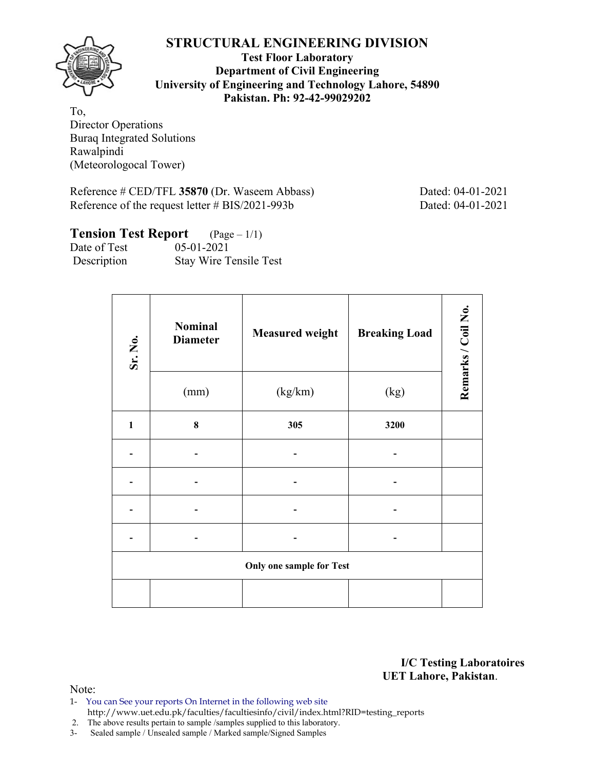**Test Floor Laboratory Department of Civil Engineering University of Engineering and Technology Lahore, 54890 Pakistan. Ph: 92-42-99029202** 

To, Director Operations Buraq Integrated Solutions Rawalpindi (Meteorologocal Tower)

Reference # CED/TFL 35870 (Dr. Waseem Abbass) Dated: 04-01-2021 Reference of the request letter # BIS/2021-993b Dated: 04-01-2021

| <b>Tension Test Report</b> $(Page-1/1)$ |                               |
|-----------------------------------------|-------------------------------|
| Date of Test                            | $05-01-2021$                  |
| Description                             | <b>Stay Wire Tensile Test</b> |

| Sr. No.      | <b>Nominal</b><br><b>Diameter</b> | <b>Measured weight</b>          | <b>Breaking Load</b> | Remarks / Coil No. |  |  |
|--------------|-----------------------------------|---------------------------------|----------------------|--------------------|--|--|
|              | (mm)                              | (kg/km)                         | (kg)                 |                    |  |  |
| $\mathbf{1}$ | 8                                 | 305                             | 3200                 |                    |  |  |
|              |                                   |                                 |                      |                    |  |  |
|              |                                   |                                 |                      |                    |  |  |
|              |                                   |                                 |                      |                    |  |  |
|              |                                   |                                 |                      |                    |  |  |
|              |                                   | <b>Only one sample for Test</b> |                      |                    |  |  |
|              |                                   |                                 |                      |                    |  |  |

**I/C Testing Laboratoires UET Lahore, Pakistan**.

Note:

- 1- You can See your reports On Internet in the following web site http://www.uet.edu.pk/faculties/facultiesinfo/civil/index.html?RID=testing\_reports
- 2. The above results pertain to sample /samples supplied to this laboratory.
- 3- Sealed sample / Unsealed sample / Marked sample/Signed Samples